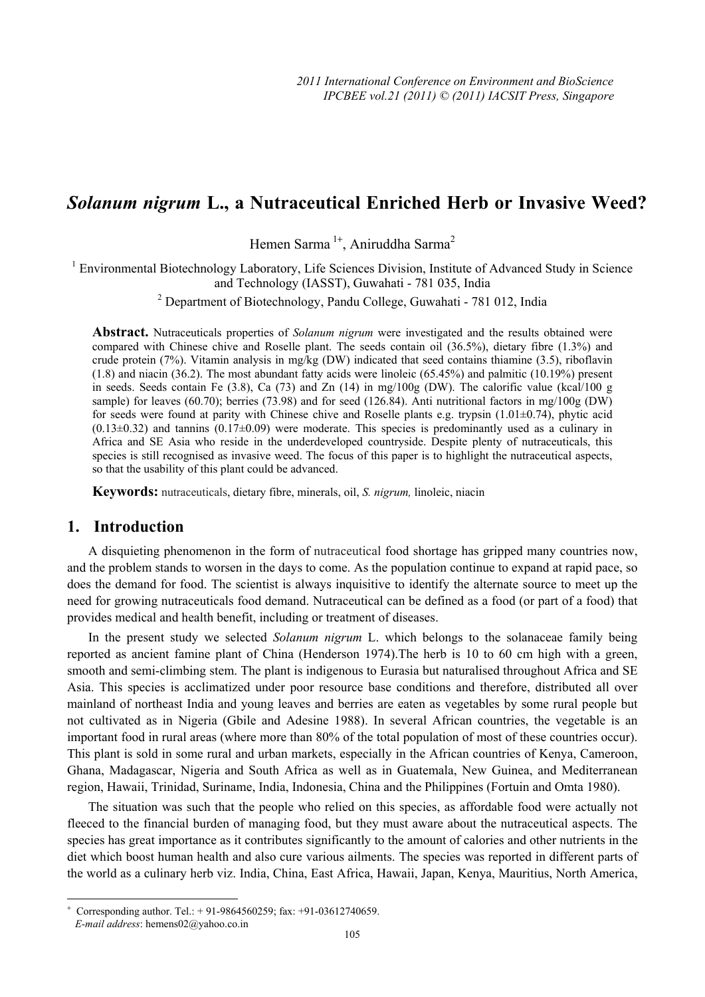# *Solanum nigrum* **L., a Nutraceutical Enriched Herb or Invasive Weed?**

Hemen Sarma<sup>1+</sup>, Aniruddha Sarma<sup>2</sup>

<sup>1</sup> Environmental Biotechnology Laboratory, Life Sciences Division, Institute of Advanced Study in Science and Technology (IASST), Guwahati - 781 035, India

<sup>2</sup> Department of Biotechnology, Pandu College, Guwahati - 781 012, India

**Abstract.** Nutraceuticals properties of *Solanum nigrum* were investigated and the results obtained were compared with Chinese chive and Roselle plant. The seeds contain oil (36.5%), dietary fibre (1.3%) and crude protein (7%). Vitamin analysis in mg/kg (DW) indicated that seed contains thiamine (3.5), riboflavin (1.8) and niacin (36.2). The most abundant fatty acids were linoleic (65.45%) and palmitic (10.19%) present in seeds. Seeds contain Fe (3.8), Ca (73) and Zn (14) in mg/100g (DW). The calorific value (kcal/100 g sample) for leaves (60.70); berries (73.98) and for seed (126.84). Anti nutritional factors in mg/100g (DW) for seeds were found at parity with Chinese chive and Roselle plants e.g. trypsin  $(1.01\pm0.74)$ , phytic acid  $(0.13\pm0.32)$  and tannins  $(0.17\pm0.09)$  were moderate. This species is predominantly used as a culinary in Africa and SE Asia who reside in the underdeveloped countryside. Despite plenty of nutraceuticals, this species is still recognised as invasive weed. The focus of this paper is to highlight the nutraceutical aspects, so that the usability of this plant could be advanced.

**Keywords:** nutraceuticals, dietary fibre, minerals, oil, *S. nigrum,* linoleic, niacin

## **1. Introduction**

 $\overline{a}$ 

A disquieting phenomenon in the form of nutraceutical food shortage has gripped many countries now, and the problem stands to worsen in the days to come. As the population continue to expand at rapid pace, so does the demand for food. The scientist is always inquisitive to identify the alternate source to meet up the need for growing nutraceuticals food demand. Nutraceutical can be defined as a food (or part of a food) that provides medical and health benefit, including or treatment of diseases.

In the present study we selected *Solanum nigrum* L. which belongs to the solanaceae family being reported as ancient famine plant of China (Henderson 1974).The herb is 10 to 60 cm high with a green, smooth and semi-climbing stem. The plant is indigenous to Eurasia but naturalised throughout Africa and SE Asia. This species is acclimatized under poor resource base conditions and therefore, distributed all over mainland of northeast India and young leaves and berries are eaten as vegetables by some rural people but not cultivated as in Nigeria (Gbile and Adesine 1988). In several African countries, the vegetable is an important food in rural areas (where more than 80% of the total population of most of these countries occur). This plant is sold in some rural and urban markets, especially in the African countries of Kenya, Cameroon, Ghana, Madagascar, Nigeria and South Africa as well as in Guatemala, New Guinea, and Mediterranean region, Hawaii, Trinidad, Suriname, India, Indonesia, China and the Philippines (Fortuin and Omta 1980).

The situation was such that the people who relied on this species, as affordable food were actually not fleeced to the financial burden of managing food, but they must aware about the nutraceutical aspects. The species has great importance as it contributes significantly to the amount of calories and other nutrients in the diet which boost human health and also cure various ailments. The species was reported in different parts of the world as a culinary herb viz. India, China, East Africa, Hawaii, Japan, Kenya, Mauritius, North America,

<sup>+</sup> Corresponding author. Tel.: + 91-9864560259; fax: +91-03612740659. *E-mail address*: hemens02@yahoo.co.in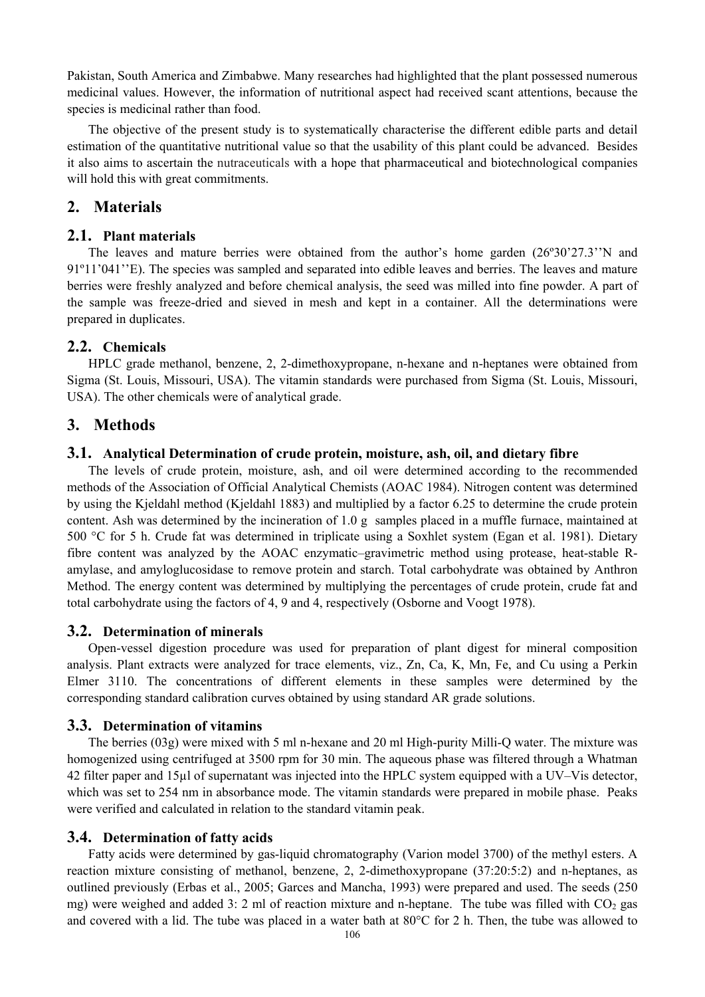Pakistan, South America and Zimbabwe. Many researches had highlighted that the plant possessed numerous medicinal values. However, the information of nutritional aspect had received scant attentions, because the species is medicinal rather than food.

The objective of the present study is to systematically characterise the different edible parts and detail estimation of the quantitative nutritional value so that the usability of this plant could be advanced. Besides it also aims to ascertain the nutraceuticals with a hope that pharmaceutical and biotechnological companies will hold this with great commitments.

# **2. Materials**

### **2.1. Plant materials**

The leaves and mature berries were obtained from the author's home garden (26º30'27.3''N and 91º11'041''E). The species was sampled and separated into edible leaves and berries. The leaves and mature berries were freshly analyzed and before chemical analysis, the seed was milled into fine powder. A part of the sample was freeze-dried and sieved in mesh and kept in a container. All the determinations were prepared in duplicates.

### **2.2. Chemicals**

HPLC grade methanol, benzene, 2, 2-dimethoxypropane, n-hexane and n-heptanes were obtained from Sigma (St. Louis, Missouri, USA). The vitamin standards were purchased from Sigma (St. Louis, Missouri, USA). The other chemicals were of analytical grade.

# **3. Methods**

#### **3.1. Analytical Determination of crude protein, moisture, ash, oil, and dietary fibre**

The levels of crude protein, moisture, ash, and oil were determined according to the recommended methods of the Association of Official Analytical Chemists (AOAC 1984). Nitrogen content was determined by using the Kjeldahl method (Kjeldahl 1883) and multiplied by a factor 6.25 to determine the crude protein content. Ash was determined by the incineration of 1.0 g samples placed in a muffle furnace, maintained at 500 °C for 5 h. Crude fat was determined in triplicate using a Soxhlet system (Egan et al. 1981). Dietary fibre content was analyzed by the AOAC enzymatic–gravimetric method using protease, heat-stable Ramylase, and amyloglucosidase to remove protein and starch. Total carbohydrate was obtained by Anthron Method. The energy content was determined by multiplying the percentages of crude protein, crude fat and total carbohydrate using the factors of 4, 9 and 4, respectively (Osborne and Voogt 1978).

### **3.2. Determination of minerals**

Open-vessel digestion procedure was used for preparation of plant digest for mineral composition analysis. Plant extracts were analyzed for trace elements, viz., Zn, Ca, K, Mn, Fe, and Cu using a Perkin Elmer 3110. The concentrations of different elements in these samples were determined by the corresponding standard calibration curves obtained by using standard AR grade solutions.

### **3.3. Determination of vitamins**

The berries (03g) were mixed with 5 ml n-hexane and 20 ml High-purity Milli-Q water. The mixture was homogenized using centrifuged at 3500 rpm for 30 min. The aqueous phase was filtered through a Whatman 42 filter paper and 15µl of supernatant was injected into the HPLC system equipped with a UV–Vis detector, which was set to 254 nm in absorbance mode. The vitamin standards were prepared in mobile phase. Peaks were verified and calculated in relation to the standard vitamin peak.

#### **3.4. Determination of fatty acids**

Fatty acids were determined by gas-liquid chromatography (Varion model 3700) of the methyl esters. A reaction mixture consisting of methanol, benzene, 2, 2-dimethoxypropane (37:20:5:2) and n-heptanes, as outlined previously (Erbas et al., 2005; Garces and Mancha, 1993) were prepared and used. The seeds (250 mg) were weighed and added 3: 2 ml of reaction mixture and n-heptane. The tube was filled with  $CO<sub>2</sub>$  gas and covered with a lid. The tube was placed in a water bath at 80°C for 2 h. Then, the tube was allowed to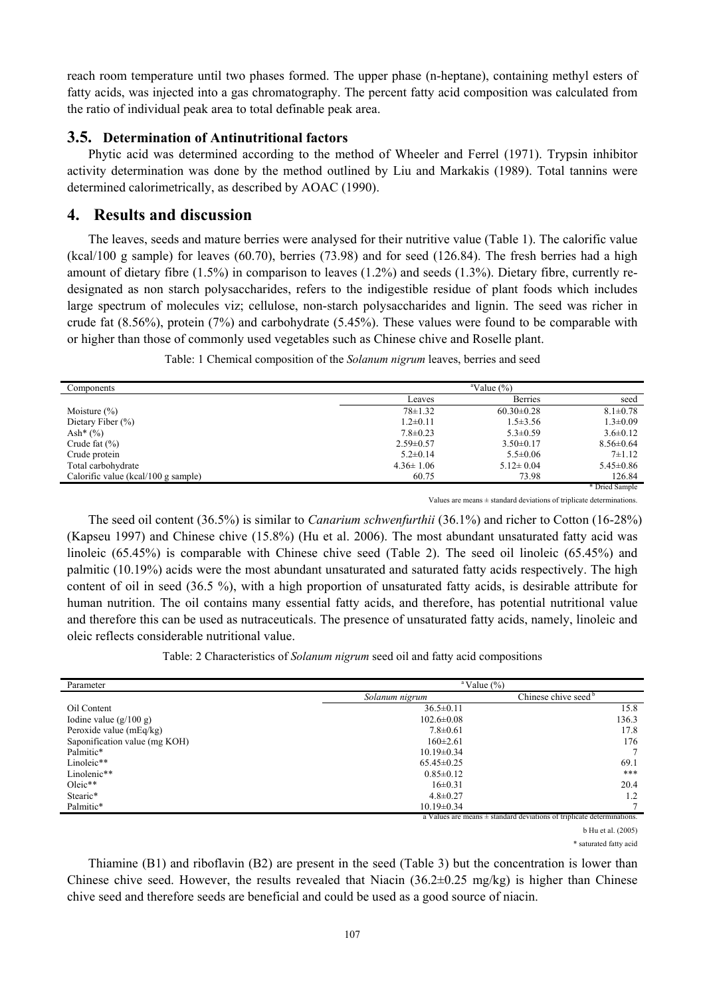reach room temperature until two phases formed. The upper phase (n-heptane), containing methyl esters of fatty acids, was injected into a gas chromatography. The percent fatty acid composition was calculated from the ratio of individual peak area to total definable peak area.

## **3.5. Determination of Antinutritional factors**

Phytic acid was determined according to the method of Wheeler and Ferrel (1971). Trypsin inhibitor activity determination was done by the method outlined by Liu and Markakis (1989). Total tannins were determined calorimetrically, as described by AOAC (1990).

# **4. Results and discussion**

The leaves, seeds and mature berries were analysed for their nutritive value (Table 1). The calorific value (kcal/100 g sample) for leaves (60.70), berries (73.98) and for seed (126.84). The fresh berries had a high amount of dietary fibre (1.5%) in comparison to leaves (1.2%) and seeds (1.3%). Dietary fibre, currently redesignated as non starch polysaccharides, refers to the indigestible residue of plant foods which includes large spectrum of molecules viz; cellulose, non-starch polysaccharides and lignin. The seed was richer in crude fat (8.56%), protein (7%) and carbohydrate (5.45%). These values were found to be comparable with or higher than those of commonly used vegetables such as Chinese chive and Roselle plant.

Table: 1 Chemical composition of the *Solanum nigrum* leaves, berries and seed

| Components                          |                 | $\mathrm{aValue}$ (%) |                 |  |
|-------------------------------------|-----------------|-----------------------|-----------------|--|
|                                     | Leaves          | <b>Berries</b>        | seed            |  |
| Moisture $(\% )$                    | $78 \pm 1.32$   | $60.30 \pm 0.28$      | $8.1 \pm 0.78$  |  |
| Dietary Fiber $(\% )$               | $1.2 \pm 0.11$  | $1.5 \pm 3.56$        | $1.3 \pm 0.09$  |  |
| Ash* $(\% )$                        | $7.8 \pm 0.23$  | $5.3 \pm 0.59$        | $3.6 \pm 0.12$  |  |
| Crude fat $(\% )$                   | $2.59 \pm 0.57$ | $3.50\pm0.17$         | $8.56 \pm 0.64$ |  |
| Crude protein                       | $5.2 \pm 0.14$  | $5.5 \pm 0.06$        | $7 + 1.12$      |  |
| Total carbohydrate                  | $4.36 \pm 1.06$ | $5.12 \pm 0.04$       | $5.45 \pm 0.86$ |  |
| Calorific value (kcal/100 g sample) | 60.75           | 73.98                 | 126.84          |  |
|                                     |                 |                       | * Dried Sample  |  |

Values are means  $\pm$  standard deviations of triplicate determinations.

The seed oil content (36.5%) is similar to *Canarium schwenfurthii* (36.1%) and richer to Cotton (16-28%) (Kapseu 1997) and Chinese chive (15.8%) (Hu et al. 2006). The most abundant unsaturated fatty acid was linoleic (65.45%) is comparable with Chinese chive seed (Table 2). The seed oil linoleic (65.45%) and palmitic (10.19%) acids were the most abundant unsaturated and saturated fatty acids respectively. The high content of oil in seed (36.5 %), with a high proportion of unsaturated fatty acids, is desirable attribute for human nutrition. The oil contains many essential fatty acids, and therefore, has potential nutritional value and therefore this can be used as nutraceuticals. The presence of unsaturated fatty acids, namely, linoleic and oleic reflects considerable nutritional value.

Table: 2 Characteristics of *Solanum nigrum* seed oil and fatty acid compositions

| Parameter                     | $\mathrm{a}$ Value $\mathrm{(\%)}$                                    |       |  |
|-------------------------------|-----------------------------------------------------------------------|-------|--|
|                               | Chinese chive seed <sup>b</sup><br>Solanum nigrum                     |       |  |
| Oil Content                   | $36.5 \pm 0.11$                                                       | 15.8  |  |
| Iodine value $(g/100 g)$      | $102.6 \pm 0.08$                                                      | 136.3 |  |
| Peroxide value (mEq/kg)       | $7.8 \pm 0.61$                                                        | 17.8  |  |
| Saponification value (mg KOH) | $160 \pm 2.61$                                                        | 176   |  |
| Palmitic*                     | $10.19 \pm 0.34$                                                      |       |  |
| Linoleic**                    | $65.45 \pm 0.25$                                                      | 69.1  |  |
| Linolenic**                   | $0.85 \pm 0.12$                                                       | ***   |  |
| $Oleic**$                     | $16\pm0.31$                                                           | 20.4  |  |
| Stearic*                      | $4.8 \pm 0.27$                                                        | 1.2   |  |
| Palmitic*                     | $10.19 \pm 0.34$                                                      |       |  |
|                               | a Values are means + standard deviations of triplicate determinations |       |  |

a Values are means ± standard deviations of triplicate determinations.

b Hu et al. (2005)

\* saturated fatty acid

Thiamine (B1) and riboflavin (B2) are present in the seed (Table 3) but the concentration is lower than Chinese chive seed. However, the results revealed that Niacin (36.2 $\pm$ 0.25 mg/kg) is higher than Chinese chive seed and therefore seeds are beneficial and could be used as a good source of niacin.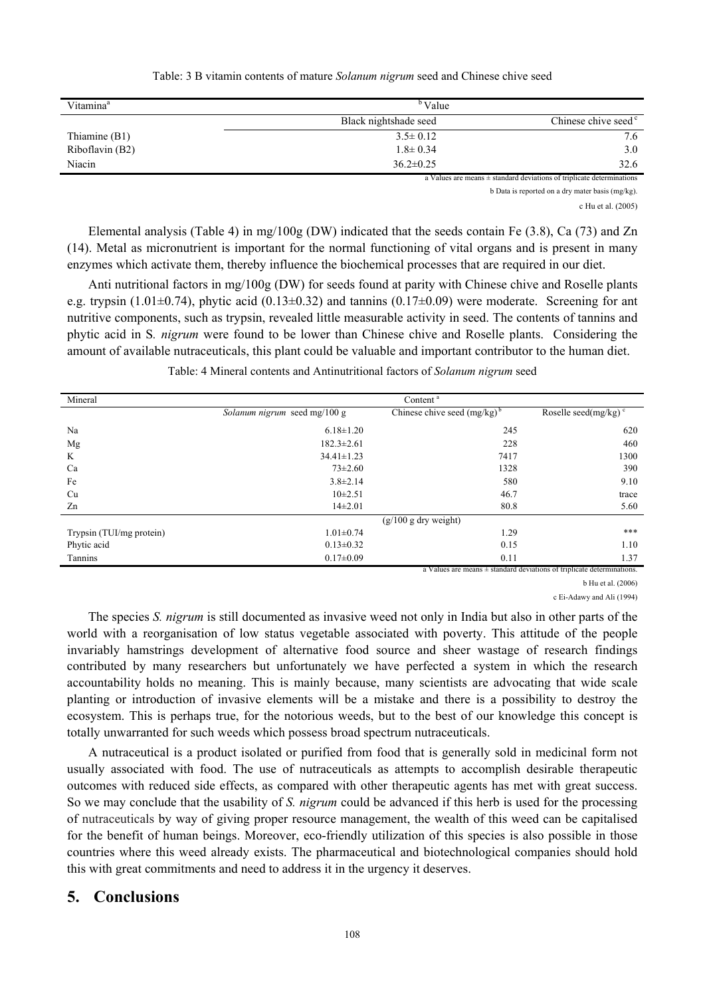| Table: 3 B vitamin contents of mature Solanum nigrum seed and Chinese chive seed |  |  |  |
|----------------------------------------------------------------------------------|--|--|--|
|                                                                                  |  |  |  |

| Vitamina <sup>a</sup> | <sup>b</sup> Value    |                                 |  |
|-----------------------|-----------------------|---------------------------------|--|
|                       | Black nightshade seed | Chinese chive seed <sup>c</sup> |  |
| Thiamine (B1)         | $3.5 \pm 0.12$        | 7.6                             |  |
| Riboflavin (B2)       | $1.8 \pm 0.34$        | 3.0                             |  |
| Niacin                | $36.2 \pm 0.25$       | 32.6                            |  |

a Values are means  $\pm$  standard deviations of triplicate determinations

b Data is reported on a dry mater basis (mg/kg).

c Hu et al. (2005)

Elemental analysis (Table 4) in mg/100g (DW) indicated that the seeds contain Fe (3.8), Ca (73) and Zn (14). Metal as micronutrient is important for the normal functioning of vital organs and is present in many enzymes which activate them, thereby influence the biochemical processes that are required in our diet.

Anti nutritional factors in mg/100g (DW) for seeds found at parity with Chinese chive and Roselle plants e.g. trypsin (1.01 $\pm$ 0.74), phytic acid (0.13 $\pm$ 0.32) and tannins (0.17 $\pm$ 0.09) were moderate. Screening for ant nutritive components, such as trypsin, revealed little measurable activity in seed. The contents of tannins and phytic acid in S*. nigrum* were found to be lower than Chinese chive and Roselle plants. Considering the amount of available nutraceuticals, this plant could be valuable and important contributor to the human diet.

Table: 4 Mineral contents and Antinutritional factors of *Solanum nigrum* seed

| Mineral                  | Content <sup>a</sup>         |                                  |                                                                            |
|--------------------------|------------------------------|----------------------------------|----------------------------------------------------------------------------|
|                          | Solanum nigrum seed mg/100 g | Chinese chive seed $(mg/kg)^{b}$ | Roselle seed(mg/kg) $\degree$                                              |
| Na                       | $6.18 \pm 1.20$              | 245                              | 620                                                                        |
| Mg                       | $182.3 \pm 2.61$             | 228                              | 460                                                                        |
| K                        | $34.41 \pm 1.23$             | 7417                             | 1300                                                                       |
| Ca                       | $73 \pm 2.60$                | 1328                             | 390                                                                        |
| Fe                       | $3.8 \pm 2.14$               | 580                              | 9.10                                                                       |
| Cu                       | $10\pm 2.51$                 | 46.7                             | trace                                                                      |
| Zn                       | $14\pm2.01$                  | 80.8                             | 5.60                                                                       |
|                          | $(g/100 g$ dry weight)       |                                  |                                                                            |
| Trypsin (TUI/mg protein) | $1.01 \pm 0.74$              | 1.29                             | ***                                                                        |
| Phytic acid              | $0.13 \pm 0.32$              | 0.15                             | 1.10                                                                       |
| Tannins                  | $0.17 \pm 0.09$              | 0.11                             | 1.37                                                                       |
|                          |                              |                                  | a Values are means $\pm$ standard deviations of triplicate determinations. |

b Hu et al. (2006)

c Ei-Adawy and Ali (1994)

The species *S. nigrum* is still documented as invasive weed not only in India but also in other parts of the world with a reorganisation of low status vegetable associated with poverty. This attitude of the people invariably hamstrings development of alternative food source and sheer wastage of research findings contributed by many researchers but unfortunately we have perfected a system in which the research accountability holds no meaning. This is mainly because, many scientists are advocating that wide scale planting or introduction of invasive elements will be a mistake and there is a possibility to destroy the ecosystem. This is perhaps true, for the notorious weeds, but to the best of our knowledge this concept is totally unwarranted for such weeds which possess broad spectrum nutraceuticals.

A nutraceutical is a product isolated or purified from food that is generally sold in medicinal form not usually associated with food. The use of nutraceuticals as attempts to accomplish desirable therapeutic outcomes with reduced side effects, as compared with other therapeutic agents has met with great success. So we may conclude that the usability of *S. nigrum* could be advanced if this herb is used for the processing of nutraceuticals by way of giving proper resource management, the wealth of this weed can be capitalised for the benefit of human beings. Moreover, eco-friendly utilization of this species is also possible in those countries where this weed already exists. The pharmaceutical and biotechnological companies should hold this with great commitments and need to address it in the urgency it deserves.

## **5. Conclusions**